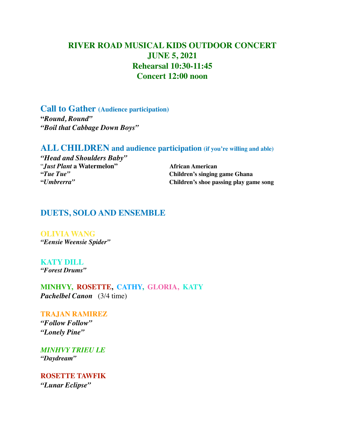# **RIVER ROAD MUSICAL KIDS OUTDOOR CONCERT JUNE 5, 2021 Rehearsal 10:30-11:45 Concert 12:00 noon**

**Call to Gather (Audience participation) "***Round, Round" "Boil that Cabbage Down Boys"*

### **ALL CHILDREN and audience participation (if you're willing and able)**

*"Head and Shoulders Baby" "Just Plant* a Watermelon" and African American<br>"*Tue Tue"* Children's singing

 $Chi(1)$ **Tuen's singing game Ghana "***Umbrerra"* **Children's shoe passing play game song**

## **DUETS, SOLO AND ENSEMBLE**

**OLIVIA WANG** *"Eensie Weensie Spider"*

**KATY DILL** *"Forest Drums"*

**MINHVY, ROSETTE, CATHY, GLORIA, KATY** *Pachelbel Canon* (3/4 time)

**TRAJAN RAMIREZ** *"Follow Follow" "Lonely Pine"*

*MINHVY TRIEU LE "Daydream"*

**ROSETTE TAWFIK**  *"Lunar Eclipse"*